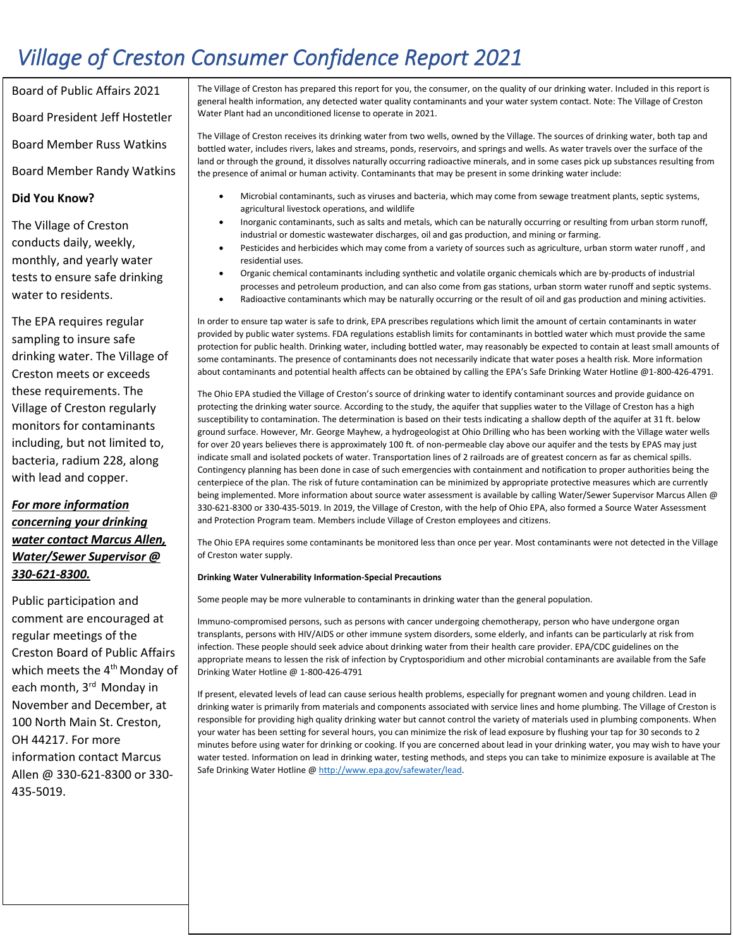## *Village of Creston Consumer Confidence Report 2021*

Board of Public Affairs 2021 Board President Jeff Hostetler Board Member Russ Watkins Board Member Randy Watkins

The Village of Creston conducts daily, weekly, monthly, and yearly water tests to ensure safe drinking water to residents.

**Did You Know?**

The EPA requires regular sampling to insure safe drinking water. The Village of Creston meets or exceeds these requirements. The Village of Creston regularly monitors for contaminants including, but not limited to, bacteria, radium 228, along with lead and copper.

### *For more information concerning your drinking water contact Marcus Allen, Water/Sewer Supervisor @ 330-621-8300.*

Public participation and comment are encouraged at regular meetings of the Creston Board of Public Affairs which meets the 4<sup>th</sup> Monday of each month, 3<sup>rd</sup> Monday in November and December, at 100 North Main St. Creston, OH 44217. For more information contact Marcus Allen @ 330-621-8300 or 330- 435-5019.

The Village of Creston has prepared this report for you, the consumer, on the quality of our drinking water. Included in this report is general health information, any detected water quality contaminants and your water system contact. Note: The Village of Creston Water Plant had an unconditioned license to operate in 2021.

The Village of Creston receives its drinking water from two wells, owned by the Village. The sources of drinking water, both tap and bottled water, includes rivers, lakes and streams, ponds, reservoirs, and springs and wells. As water travels over the surface of the land or through the ground, it dissolves naturally occurring radioactive minerals, and in some cases pick up substances resulting from the presence of animal or human activity. Contaminants that may be present in some drinking water include:

- Microbial contaminants, such as viruses and bacteria, which may come from sewage treatment plants, septic systems, agricultural livestock operations, and wildlife
- Inorganic contaminants, such as salts and metals, which can be naturally occurring or resulting from urban storm runoff, industrial or domestic wastewater discharges, oil and gas production, and mining or farming.
- Pesticides and herbicides which may come from a variety of sources such as agriculture, urban storm water runoff , and residential uses.
- Organic chemical contaminants including synthetic and volatile organic chemicals which are by-products of industrial processes and petroleum production, and can also come from gas stations, urban storm water runoff and septic systems.
- Radioactive contaminants which may be naturally occurring or the result of oil and gas production and mining activities.

In order to ensure tap water is safe to drink, EPA prescribes regulations which limit the amount of certain contaminants in water provided by public water systems. FDA regulations establish limits for contaminants in bottled water which must provide the same protection for public health. Drinking water, including bottled water, may reasonably be expected to contain at least small amounts of some contaminants. The presence of contaminants does not necessarily indicate that water poses a health risk. More information about contaminants and potential health affects can be obtained by calling the EPA's Safe Drinking Water Hotline @1-800-426-4791.

The Ohio EPA studied the Village of Creston's source of drinking water to identify contaminant sources and provide guidance on protecting the drinking water source. According to the study, the aquifer that supplies water to the Village of Creston has a high susceptibility to contamination. The determination is based on their tests indicating a shallow depth of the aquifer at 31 ft. below ground surface. However, Mr. George Mayhew, a hydrogeologist at Ohio Drilling who has been working with the Village water wells for over 20 years believes there is approximately 100 ft. of non-permeable clay above our aquifer and the tests by EPAS may just indicate small and isolated pockets of water. Transportation lines of 2 railroads are of greatest concern as far as chemical spills. Contingency planning has been done in case of such emergencies with containment and notification to proper authorities being the centerpiece of the plan. The risk of future contamination can be minimized by appropriate protective measures which are currently being implemented. More information about source water assessment is available by calling Water/Sewer Supervisor Marcus Allen @ 330-621-8300 or 330-435-5019. In 2019, the Village of Creston, with the help of Ohio EPA, also formed a Source Water Assessment and Protection Program team. Members include Village of Creston employees and citizens.

The Ohio EPA requires some contaminants be monitored less than once per year. Most contaminants were not detected in the Village of Creston water supply.

#### **Drinking Water Vulnerability Information-Special Precautions**

Some people may be more vulnerable to contaminants in drinking water than the general population.

Immuno-compromised persons, such as persons with cancer undergoing chemotherapy, person who have undergone organ transplants, persons with HIV/AIDS or other immune system disorders, some elderly, and infants can be particularly at risk from infection. These people should seek advice about drinking water from their health care provider. EPA/CDC guidelines on the appropriate means to lessen the risk of infection by Cryptosporidium and other microbial contaminants are available from the Safe Drinking Water Hotline @ 1-800-426-4791

If present, elevated levels of lead can cause serious health problems, especially for pregnant women and young children. Lead in drinking water is primarily from materials and components associated with service lines and home plumbing. The Village of Creston is responsible for providing high quality drinking water but cannot control the variety of materials used in plumbing components. When your water has been setting for several hours, you can minimize the risk of lead exposure by flushing your tap for 30 seconds to 2 minutes before using water for drinking or cooking. If you are concerned about lead in your drinking water, you may wish to have your water tested. Information on lead in drinking water, testing methods, and steps you can take to minimize exposure is available at The Safe Drinking Water Hotline @ http://www.epa.gov/safewater/lead.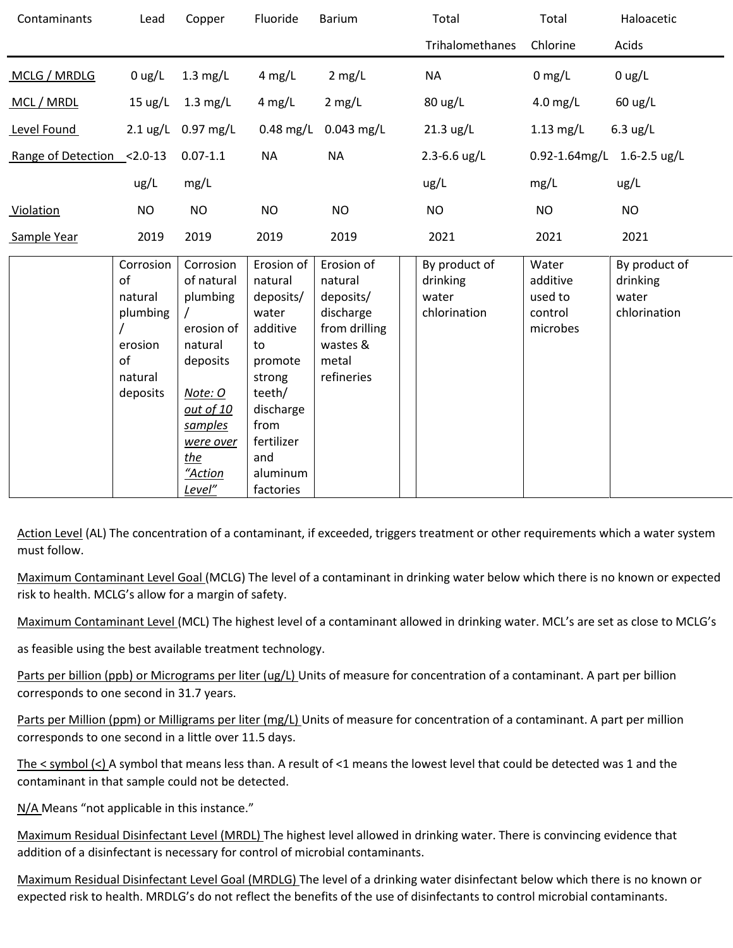| Contaminants               | Lead                                                                           | Copper                                                                                                                                               | Fluoride                                                                                                                                                        | <b>Barium</b>                                                                                       | Total                                              | Total                                               | Haloacetic                                         |
|----------------------------|--------------------------------------------------------------------------------|------------------------------------------------------------------------------------------------------------------------------------------------------|-----------------------------------------------------------------------------------------------------------------------------------------------------------------|-----------------------------------------------------------------------------------------------------|----------------------------------------------------|-----------------------------------------------------|----------------------------------------------------|
|                            |                                                                                |                                                                                                                                                      |                                                                                                                                                                 |                                                                                                     | Trihalomethanes                                    | Chlorine                                            | Acids                                              |
| MCLG / MRDLG               | $0$ ug/L                                                                       | $1.3 \text{ mg/L}$                                                                                                                                   | $4$ mg/L                                                                                                                                                        | $2$ mg/L                                                                                            | <b>NA</b>                                          | $0$ mg/L                                            | $0$ ug/L                                           |
| MCL / MRDL                 | $15 \text{ ug/L}$                                                              | $1.3 \text{ mg/L}$                                                                                                                                   | $4$ mg/L                                                                                                                                                        | $2$ mg/L                                                                                            | 80 ug/L                                            | $4.0$ mg/L                                          | $60 \text{ ug/L}$                                  |
| Level Found                |                                                                                | 2.1 ug/L 0.97 mg/L                                                                                                                                   | $0.48$ mg/L                                                                                                                                                     | $0.043$ mg/L                                                                                        | $21.3 \text{ ug/L}$                                | $1.13$ mg/L                                         | $6.3$ ug/L                                         |
| Range of Detection <2.0-13 |                                                                                | $0.07 - 1.1$                                                                                                                                         | <b>NA</b>                                                                                                                                                       | <b>NA</b>                                                                                           | $2.3 - 6.6$ ug/L                                   | 0.92-1.64mg/L 1.6-2.5 ug/L                          |                                                    |
|                            | ug/L                                                                           | mg/L                                                                                                                                                 |                                                                                                                                                                 |                                                                                                     | ug/L                                               | mg/L                                                | ug/L                                               |
| Violation                  | <b>NO</b>                                                                      | <b>NO</b>                                                                                                                                            | <b>NO</b>                                                                                                                                                       | <b>NO</b>                                                                                           | <b>NO</b>                                          | <b>NO</b>                                           | <b>NO</b>                                          |
| Sample Year                | 2019                                                                           | 2019                                                                                                                                                 | 2019                                                                                                                                                            | 2019                                                                                                | 2021                                               | 2021                                                | 2021                                               |
|                            | Corrosion<br>of<br>natural<br>plumbing<br>erosion<br>of<br>natural<br>deposits | Corrosion<br>of natural<br>plumbing<br>erosion of<br>natural<br>deposits<br>Note: O<br>out of 10<br>samples<br>were over<br>the<br>"Action<br>Level" | Erosion of<br>natural<br>deposits/<br>water<br>additive<br>to<br>promote<br>strong<br>teeth/<br>discharge<br>from<br>fertilizer<br>and<br>aluminum<br>factories | Erosion of<br>natural<br>deposits/<br>discharge<br>from drilling<br>wastes &<br>metal<br>refineries | By product of<br>drinking<br>water<br>chlorination | Water<br>additive<br>used to<br>control<br>microbes | By product of<br>drinking<br>water<br>chlorination |

Action Level (AL) The concentration of a contaminant, if exceeded, triggers treatment or other requirements which a water system must follow.

Maximum Contaminant Level Goal (MCLG) The level of a contaminant in drinking water below which there is no known or expected risk to health. MCLG's allow for a margin of safety.

Maximum Contaminant Level (MCL) The highest level of a contaminant allowed in drinking water. MCL's are set as close to MCLG's

as feasible using the best available treatment technology.

Parts per billion (ppb) or Micrograms per liter (ug/L) Units of measure for concentration of a contaminant. A part per billion corresponds to one second in 31.7 years.

Parts per Million (ppm) or Milligrams per liter (mg/L) Units of measure for concentration of a contaminant. A part per million corresponds to one second in a little over 11.5 days.

The  $\le$  symbol  $\le$ ) A symbol that means less than. A result of  $\leq$ 1 means the lowest level that could be detected was 1 and the contaminant in that sample could not be detected.

N/A Means "not applicable in this instance."

Maximum Residual Disinfectant Level (MRDL) The highest level allowed in drinking water. There is convincing evidence that addition of a disinfectant is necessary for control of microbial contaminants.

Maximum Residual Disinfectant Level Goal (MRDLG) The level of a drinking water disinfectant below which there is no known or expected risk to health. MRDLG's do not reflect the benefits of the use of disinfectants to control microbial contaminants.